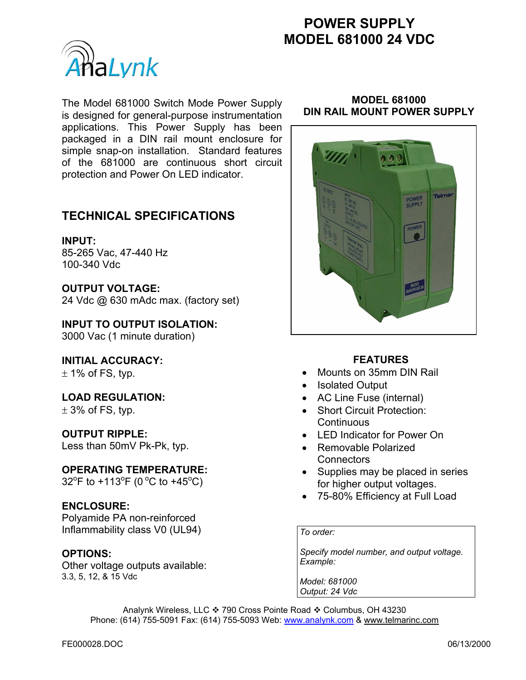# **POWER SUPPLY MODEL 681000 24 VDC**



The Model 681000 Switch Mode Power Supply is designed for general-purpose instrumentation applications. This Power Supply has been packaged in a DIN rail mount enclosure for simple snap-on installation. Standard features of the 681000 are continuous short circuit protection and Power On LED indicator.

## **TECHNICAL SPECIFICATIONS**

### **INPUT:**

85-265 Vac, 47-440 Hz 100-340 Vdc

## **OUTPUT VOLTAGE:**

24 Vdc @ 630 mAdc max. (factory set)

**INPUT TO OUTPUT ISOLATION:**  3000 Vac (1 minute duration)

## **INITIAL ACCURACY:**

 $\pm$  1% of FS, typ.

## **LOAD REGULATION:**

 $\pm$  3% of FS, typ.

## **OUTPUT RIPPLE:**

Less than 50mV Pk-Pk, typ.

#### **OPERATING TEMPERATURE:**

 $32^{\circ}$ F to +113 $^{\circ}$ F (0 $^{\circ}$ C to +45 $^{\circ}$ C)

## **ENCLOSURE:**

Polyamide PA non-reinforced Inflammability class V0 (UL94)

## **OPTIONS:**

Other voltage outputs available: 3.3, 5, 12, & 15 Vdc

#### **MODEL 681000 DIN RAIL MOUNT POWER SUPPLY**



## **FEATURES**

- Mounts on 35mm DIN Rail
- Isolated Output
- AC Line Fuse (internal)
- Short Circuit Protection: **Continuous**
- LED Indicator for Power On
- Removable Polarized **Connectors**
- Supplies may be placed in series for higher output voltages.
- 75-80% Efficiency at Full Load

#### *To order:*

*Specify model number, and output voltage. Example:* 

*Model: 681000 Output: 24 Vdc*

Analynk Wireless, LLC ❖ 790 Cross Pointe Road ❖ Columbus, OH 43230 Phone: (614) 755-5091 Fax: (614) 755-5093 Web: www.analynk.com & www.telmarinc.com